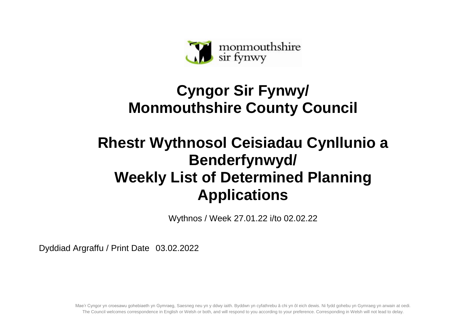

## **Cyngor Sir Fynwy/ Monmouthshire County Council**

## **Rhestr Wythnosol Ceisiadau Cynllunio a Benderfynwyd/ Weekly List of Determined Planning Applications**

Wythnos / Week 27.01.22 i/to 02.02.22

Dyddiad Argraffu / Print Date 03.02.2022

Mae'r Cyngor yn croesawu gohebiaeth yn Gymraeg, Saesneg neu yn y ddwy iaith. Byddwn yn cyfathrebu â chi yn ôl eich dewis. Ni fydd gohebu yn Gymraeg yn arwain at oedi. The Council welcomes correspondence in English or Welsh or both, and will respond to you according to your preference. Corresponding in Welsh will not lead to delay.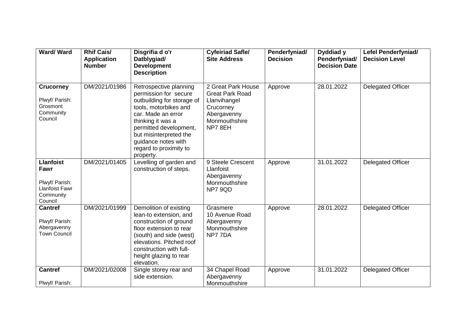| Ward/Ward                                                                                   | <b>Rhif Cais/</b><br><b>Application</b><br><b>Number</b> | Disgrifia d o'r<br>Datblygiad/<br><b>Development</b><br><b>Description</b>                                                                                                                                                                                          | <b>Cyfeiriad Safle/</b><br><b>Site Address</b>                                                                      | Penderfyniad/<br><b>Decision</b> | Dyddiad y<br>Penderfyniad/<br><b>Decision Date</b> | <b>Lefel Penderfyniad/</b><br><b>Decision Level</b> |
|---------------------------------------------------------------------------------------------|----------------------------------------------------------|---------------------------------------------------------------------------------------------------------------------------------------------------------------------------------------------------------------------------------------------------------------------|---------------------------------------------------------------------------------------------------------------------|----------------------------------|----------------------------------------------------|-----------------------------------------------------|
| <b>Crucorney</b><br>Plwyf/ Parish:<br>Grosmont<br>Community<br>Council                      | DM/2021/01986                                            | Retrospective planning<br>permission for secure<br>outbuilding for storage of<br>tools, motorbikes and<br>car. Made an error<br>thinking it was a<br>permitted development,<br>but misinterpreted the<br>guidance notes with<br>regard to proximity to<br>property. | 2 Great Park House<br><b>Great Park Road</b><br>Llanvihangel<br>Crucorney<br>Abergavenny<br>Monmouthshire<br>NP78EH | Approve                          | 28.01.2022                                         | <b>Delegated Officer</b>                            |
| <b>Llanfoist</b><br>Fawr<br>Plwyf/ Parish:<br><b>Llanfoist Fawr</b><br>Community<br>Council | DM/2021/01405                                            | Levelling of garden and<br>construction of steps.                                                                                                                                                                                                                   | 9 Steele Crescent<br>Llanfoist<br>Abergavenny<br>Monmouthshire<br>NP7 9QD                                           | Approve                          | 31.01.2022                                         | <b>Delegated Officer</b>                            |
| <b>Cantref</b><br>Plwyf/ Parish:<br>Abergavenny<br><b>Town Council</b>                      | DM/2021/01999                                            | Demolition of existing<br>lean-to extension, and<br>construction of ground<br>floor extension to rear<br>(south) and side (west)<br>elevations. Pitched roof<br>construction with full-<br>height glazing to rear<br>elevation.                                     | Grasmere<br>10 Avenue Road<br>Abergavenny<br>Monmouthshire<br>NP77DA                                                | Approve                          | 28.01.2022                                         | <b>Delegated Officer</b>                            |
| <b>Cantref</b><br>Plwyf/ Parish:                                                            | DM/2021/02008                                            | Single storey rear and<br>side extension.                                                                                                                                                                                                                           | 34 Chapel Road<br>Abergavenny<br>Monmouthshire                                                                      | Approve                          | 31.01.2022                                         | <b>Delegated Officer</b>                            |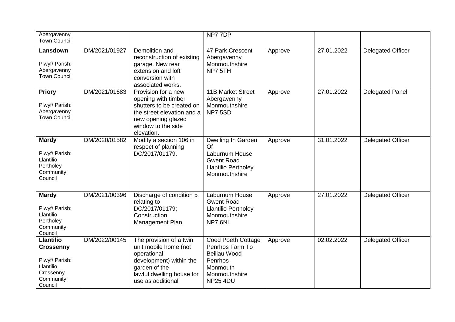| Abergavenny<br><b>Town Council</b>                                                                       |               |                                                                                                                                                                 | NP77DP                                                                                                                  |         |            |                          |
|----------------------------------------------------------------------------------------------------------|---------------|-----------------------------------------------------------------------------------------------------------------------------------------------------------------|-------------------------------------------------------------------------------------------------------------------------|---------|------------|--------------------------|
| Lansdown<br>Plwyf/ Parish:<br>Abergavenny<br><b>Town Council</b>                                         | DM/2021/01927 | Demolition and<br>reconstruction of existing<br>garage. New rear<br>extension and loft<br>conversion with<br>associated works.                                  | 47 Park Crescent<br>Abergavenny<br>Monmouthshire<br>NP7 5TH                                                             | Approve | 27.01.2022 | <b>Delegated Officer</b> |
| <b>Priory</b><br>Plwyf/ Parish:<br>Abergavenny<br><b>Town Council</b>                                    | DM/2021/01683 | Provision for a new<br>opening with timber<br>shutters to be created on<br>the street elevation and a<br>new opening glazed<br>window to the side<br>elevation. | <b>11B Market Street</b><br>Abergavenny<br>Monmouthshire<br>NP75SD                                                      | Approve | 27.01.2022 | <b>Delegated Panel</b>   |
| <b>Mardy</b><br>Plwyf/ Parish:<br>Llantilio<br>Pertholey<br>Community<br>Council                         | DM/2020/01582 | Modify a section 106 in<br>respect of planning<br>DC/2017/01179.                                                                                                | Dwelling In Garden<br>Of<br>Laburnum House<br><b>Gwent Road</b><br><b>Llantilio Pertholey</b><br>Monmouthshire          | Approve | 31.01.2022 | <b>Delegated Officer</b> |
| <b>Mardy</b><br>Plwyf/ Parish:<br>Llantilio<br>Pertholey<br>Community<br>Council                         | DM/2021/00396 | Discharge of condition 5<br>relating to<br>DC/2017/01179;<br>Construction<br>Management Plan.                                                                   | Laburnum House<br><b>Gwent Road</b><br><b>Llantilio Pertholey</b><br>Monmouthshire<br>NP7 6NL                           | Approve | 27.01.2022 | <b>Delegated Officer</b> |
| <b>Llantilio</b><br><b>Crossenny</b><br>Plwyf/ Parish:<br>Llantilio<br>Crossenny<br>Community<br>Council | DM/2022/00145 | The provision of a twin<br>unit mobile home (not<br>operational<br>development) within the<br>garden of the<br>lawful dwelling house for<br>use as additional   | <b>Coed Poeth Cottage</b><br>Penrhos Farm To<br>Beiliau Wood<br>Penrhos<br>Monmouth<br>Monmouthshire<br><b>NP25 4DU</b> | Approve | 02.02.2022 | <b>Delegated Officer</b> |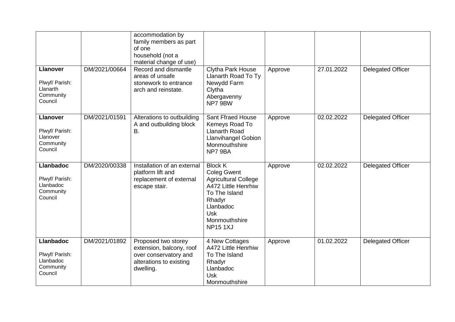|                                                                         |               | accommodation by<br>family members as part<br>of one<br>household (not a<br>material change of use)              |                                                                                                                                                                                     |         |            |                          |
|-------------------------------------------------------------------------|---------------|------------------------------------------------------------------------------------------------------------------|-------------------------------------------------------------------------------------------------------------------------------------------------------------------------------------|---------|------------|--------------------------|
| <b>Llanover</b><br>Plwyf/ Parish:<br>Llanarth<br>Community<br>Council   | DM/2021/00664 | Record and dismantle<br>areas of unsafe<br>stonework to entrance<br>arch and reinstate.                          | Clytha Park House<br>Llanarth Road To Ty<br>Newydd Farm<br>Clytha<br>Abergavenny<br>NP7 9BW                                                                                         | Approve | 27.01.2022 | <b>Delegated Officer</b> |
| <b>Llanover</b><br>Plwyf/ Parish:<br>Llanover<br>Community<br>Council   | DM/2021/01591 | Alterations to outbuilding<br>A and outbuilding block<br>B.                                                      | <b>Sant Ffraed House</b><br>Kemeys Road To<br><b>Llanarth Road</b><br><b>Llanvihangel Gobion</b><br>Monmouthshire<br>NP7 9BA                                                        | Approve | 02.02.2022 | Delegated Officer        |
| <b>Llanbadoc</b><br>Plwyf/ Parish:<br>Llanbadoc<br>Community<br>Council | DM/2020/00338 | Installation of an external<br>platform lift and<br>replacement of external<br>escape stair.                     | <b>Block K</b><br><b>Coleg Gwent</b><br><b>Agricultural College</b><br>A472 Little Henrhiw<br>To The Island<br>Rhadyr<br>Llanbadoc<br><b>Usk</b><br>Monmouthshire<br><b>NP151XJ</b> | Approve | 02.02.2022 | <b>Delegated Officer</b> |
| <b>Llanbadoc</b><br>Plwyf/ Parish:<br>Llanbadoc<br>Community<br>Council | DM/2021/01892 | Proposed two storey<br>extension, balcony, roof<br>over conservatory and<br>alterations to existing<br>dwelling. | 4 New Cottages<br>A472 Little Henrhiw<br>To The Island<br>Rhadyr<br>Llanbadoc<br><b>Usk</b><br>Monmouthshire                                                                        | Approve | 01.02.2022 | <b>Delegated Officer</b> |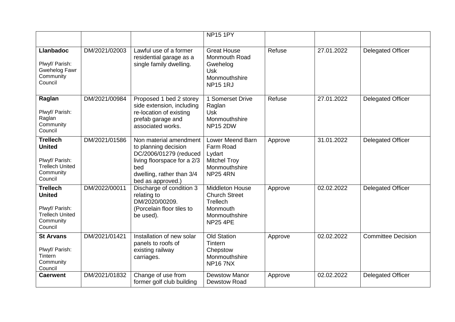|                                                                                                      |               |                                                                                                                                                                  | <b>NP15 1PY</b>                                                                                            |         |            |                           |
|------------------------------------------------------------------------------------------------------|---------------|------------------------------------------------------------------------------------------------------------------------------------------------------------------|------------------------------------------------------------------------------------------------------------|---------|------------|---------------------------|
| <b>Llanbadoc</b><br>Plwyf/ Parish:<br>Gwehelog Fawr<br>Community<br>Council                          | DM/2021/02003 | Lawful use of a former<br>residential garage as a<br>single family dwelling.                                                                                     | <b>Great House</b><br>Monmouth Road<br>Gwehelog<br><b>Usk</b><br>Monmouthshire<br><b>NP15 1RJ</b>          | Refuse  | 27.01.2022 | <b>Delegated Officer</b>  |
| Raglan<br>Plwyf/ Parish:<br>Raglan<br>Community<br>Council                                           | DM/2021/00984 | Proposed 1 bed 2 storey<br>side extension, including<br>re-location of existing<br>prefab garage and<br>associated works.                                        | 1 Somerset Drive<br>Raglan<br><b>Usk</b><br>Monmouthshire<br><b>NP15 2DW</b>                               | Refuse  | 27.01.2022 | <b>Delegated Officer</b>  |
| <b>Trellech</b><br><b>United</b><br>Plwyf/ Parish:<br><b>Trellech United</b><br>Community<br>Council | DM/2021/01586 | Non material amendment<br>to planning decision<br>DC/2006/01279 (reduced<br>living floorspace for a 2/3<br>bed<br>dwelling, rather than 3/4<br>bed as approved.) | Lower Meend Barn<br>Farm Road<br>Lydart<br><b>Mitchel Troy</b><br>Monmouthshire<br><b>NP25 4RN</b>         | Approve | 31.01.2022 | <b>Delegated Officer</b>  |
| <b>Trellech</b><br><b>United</b><br>Plwyf/ Parish:<br><b>Trellech United</b><br>Community<br>Council | DM/2022/00011 | Discharge of condition 3<br>relating to<br>DM/2020/00209.<br>(Porcelain floor tiles to<br>be used).                                                              | <b>Middleton House</b><br><b>Church Street</b><br>Trellech<br>Monmouth<br>Monmouthshire<br><b>NP25 4PE</b> | Approve | 02.02.2022 | <b>Delegated Officer</b>  |
| <b>St Arvans</b><br>Plwyf/ Parish:<br>Tintern<br>Community<br>Council                                | DM/2021/01421 | Installation of new solar<br>panels to roofs of<br>existing railway<br>carriages.                                                                                | <b>Old Station</b><br>Tintern<br>Chepstow<br>Monmouthshire<br><b>NP167NX</b>                               | Approve | 02.02.2022 | <b>Committee Decision</b> |
| <b>Caerwent</b>                                                                                      | DM/2021/01832 | Change of use from<br>former golf club building                                                                                                                  | <b>Dewstow Manor</b><br><b>Dewstow Road</b>                                                                | Approve | 02.02.2022 | <b>Delegated Officer</b>  |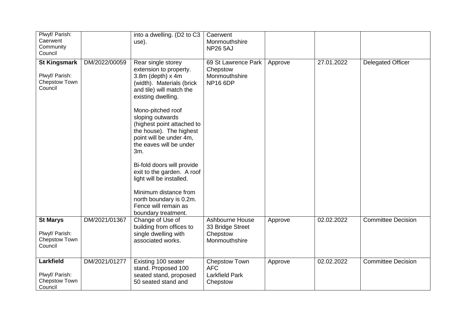| Plwyf/ Parish:<br>Caerwent<br>Community<br>Council                |               | into a dwelling. (D2 to C3<br>use).                                                                                                                                                                                                                                                                                                                                                                                                                                                                        | Caerwent<br>Monmouthshire<br><b>NP26 5AJ</b>                        |         |            |                           |
|-------------------------------------------------------------------|---------------|------------------------------------------------------------------------------------------------------------------------------------------------------------------------------------------------------------------------------------------------------------------------------------------------------------------------------------------------------------------------------------------------------------------------------------------------------------------------------------------------------------|---------------------------------------------------------------------|---------|------------|---------------------------|
| <b>St Kingsmark</b><br>Plwyf/ Parish:<br>Chepstow Town<br>Council | DM/2022/00059 | Rear single storey<br>extension to property.<br>3.8m (depth) x 4m<br>(width). Materials (brick<br>and tile) will match the<br>existing dwelling.<br>Mono-pitched roof<br>sloping outwards<br>(highest point attached to<br>the house). The highest<br>point will be under 4m,<br>the eaves will be under<br>3m.<br>Bi-fold doors will provide<br>exit to the garden. A roof<br>light will be installed.<br>Minimum distance from<br>north boundary is 0.2m.<br>Fence will remain as<br>boundary treatment. | 69 St Lawrence Park<br>Chepstow<br>Monmouthshire<br><b>NP16 6DP</b> | Approve | 27.01.2022 | <b>Delegated Officer</b>  |
| <b>St Marys</b><br>Plwyf/ Parish:<br>Chepstow Town<br>Council     | DM/2021/01367 | Change of Use of<br>building from offices to<br>single dwelling with<br>associated works.                                                                                                                                                                                                                                                                                                                                                                                                                  | Ashbourne House<br>33 Bridge Street<br>Chepstow<br>Monmouthshire    | Approve | 02.02.2022 | <b>Committee Decision</b> |
| Larkfield<br>Plwyf/ Parish:<br>Chepstow Town<br>Council           | DM/2021/01277 | Existing 100 seater<br>stand. Proposed 100<br>seated stand, proposed<br>50 seated stand and                                                                                                                                                                                                                                                                                                                                                                                                                | Chepstow Town<br><b>AFC</b><br><b>Larkfield Park</b><br>Chepstow    | Approve | 02.02.2022 | <b>Committee Decision</b> |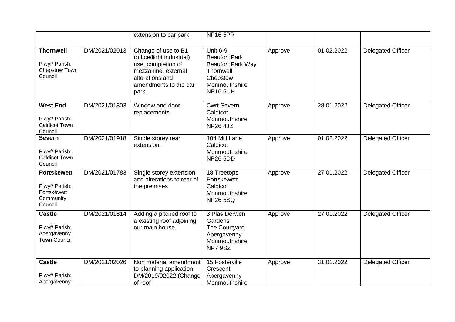|                                                                             |               | extension to car park.                                                                                                                             | <b>NP16 5PR</b>                                                                                                                  |         |            |                          |
|-----------------------------------------------------------------------------|---------------|----------------------------------------------------------------------------------------------------------------------------------------------------|----------------------------------------------------------------------------------------------------------------------------------|---------|------------|--------------------------|
| <b>Thornwell</b><br>Plwyf/ Parish:<br>Chepstow Town<br>Council              | DM/2021/02013 | Change of use to B1<br>(office/light industrial)<br>use, completion of<br>mezzanine, external<br>alterations and<br>amendments to the car<br>park. | <b>Unit 6-9</b><br><b>Beaufort Park</b><br><b>Beaufort Park Way</b><br>Thornwell<br>Chepstow<br>Monmouthshire<br><b>NP16 5UH</b> | Approve | 01.02.2022 | <b>Delegated Officer</b> |
| <b>West End</b><br>Plwyf/ Parish:<br><b>Caldicot Town</b><br>Council        | DM/2021/01803 | Window and door<br>replacements.                                                                                                                   | <b>Cwrt Severn</b><br>Caldicot<br>Monmouthshire<br><b>NP26 4JZ</b>                                                               | Approve | 28.01.2022 | <b>Delegated Officer</b> |
| <b>Severn</b><br>Plwyf/ Parish:<br><b>Caldicot Town</b><br>Council          | DM/2021/01918 | Single storey rear<br>extension.                                                                                                                   | 104 Mill Lane<br>Caldicot<br>Monmouthshire<br><b>NP26 5DD</b>                                                                    | Approve | 01.02.2022 | <b>Delegated Officer</b> |
| <b>Portskewett</b><br>Plwyf/ Parish:<br>Portskewett<br>Community<br>Council | DM/2021/01783 | Single storey extension<br>and alterations to rear of<br>the premises.                                                                             | 18 Treetops<br>Portskewett<br>Caldicot<br>Monmouthshire<br><b>NP26 5SQ</b>                                                       | Approve | 27.01.2022 | <b>Delegated Officer</b> |
| <b>Castle</b><br>Plwyf/ Parish:<br>Abergavenny<br><b>Town Council</b>       | DM/2021/01814 | Adding a pitched roof to<br>a existing roof adjoining<br>our main house.                                                                           | 3 Plas Derwen<br>Gardens<br>The Courtyard<br>Abergavenny<br>Monmouthshire<br>NP7 9SZ                                             | Approve | 27.01.2022 | <b>Delegated Officer</b> |
| <b>Castle</b><br>Plwyf/ Parish:<br>Abergavenny                              | DM/2021/02026 | Non material amendment<br>to planning application<br>DM/2019/02022 (Change<br>of roof                                                              | 15 Fosterville<br>Crescent<br>Abergavenny<br>Monmouthshire                                                                       | Approve | 31.01.2022 | <b>Delegated Officer</b> |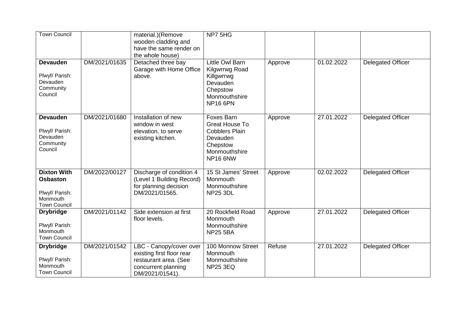| <b>Town Council</b>                                                                        |               | material.)(Remove<br>wooden cladding and<br>have the same render on<br>the whole house)                                 | NP7 5HG                                                                                                     |         |            |                          |
|--------------------------------------------------------------------------------------------|---------------|-------------------------------------------------------------------------------------------------------------------------|-------------------------------------------------------------------------------------------------------------|---------|------------|--------------------------|
| <b>Devauden</b><br>Plwyf/ Parish:<br>Devauden<br>Community<br>Council                      | DM/2021/01635 | Detached three bay<br>Garage with Home Office<br>above.                                                                 | Little Owl Barn<br>Kilgwrrwg Road<br>Killgwrrwg<br>Devauden<br>Chepstow<br>Monmouthshire<br><b>NP16 6PN</b> | Approve | 01.02.2022 | <b>Delegated Officer</b> |
| <b>Devauden</b><br>Plwyf/ Parish:<br>Devauden<br>Community<br>Council                      | DM/2021/01680 | Installation of new<br>window in west<br>elevation, to serve<br>existing kitchen.                                       | Foxes Barn<br>Great House To<br><b>Cobblers Plain</b><br>Devauden<br>Chepstow<br>Monmouthshire<br>NP16 6NW  | Approve | 27.01.2022 | <b>Delegated Officer</b> |
| <b>Dixton With</b><br><b>Osbaston</b><br>Plwyf/ Parish:<br>Monmouth<br><b>Town Council</b> | DM/2022/00127 | Discharge of condition 4<br>(Level 1 Building Record)<br>for planning decision<br>DM/2021/01565.                        | 15 St James' Street<br>Monmouth<br>Monmouthshire<br><b>NP25 3DL</b>                                         | Approve | 02.02.2022 | <b>Delegated Officer</b> |
| <b>Drybridge</b><br>Plwyf/ Parish:<br>Monmouth<br><b>Town Council</b>                      | DM/2021/01142 | Side extension at first<br>floor levels.                                                                                | 20 Rockfield Road<br>Monmouth<br>Monmouthshire<br><b>NP25 5BA</b>                                           | Approve | 27.01.2022 | <b>Delegated Officer</b> |
| <b>Drybridge</b><br>Plwyf/ Parish:<br>Monmouth<br><b>Town Council</b>                      | DM/2021/01542 | LBC - Canopy/cover over<br>existing first floor rear<br>restaurant area. (See<br>concurrent planning<br>DM/2021/01541). | 100 Monnow Street<br>Monmouth<br>Monmouthshire<br><b>NP25 3EQ</b>                                           | Refuse  | 27.01.2022 | <b>Delegated Officer</b> |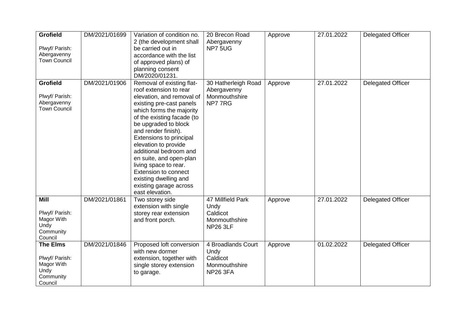| <b>Grofield</b><br>Plwyf/ Parish:<br>Abergavenny<br><b>Town Council</b>         | DM/2021/01699 | Variation of condition no.<br>2 (the development shall<br>be carried out in<br>accordance with the list<br>of approved plans) of<br>planning consent<br>DM/2020/01231.                                                                                                                                                                                                                                                                                             | 20 Brecon Road<br>Abergavenny<br>NP75UG                                    | Approve | 27.01.2022 | <b>Delegated Officer</b> |
|---------------------------------------------------------------------------------|---------------|--------------------------------------------------------------------------------------------------------------------------------------------------------------------------------------------------------------------------------------------------------------------------------------------------------------------------------------------------------------------------------------------------------------------------------------------------------------------|----------------------------------------------------------------------------|---------|------------|--------------------------|
| <b>Grofield</b><br>Plwyf/ Parish:<br>Abergavenny<br><b>Town Council</b>         | DM/2021/01906 | Removal of existing flat-<br>roof extension to rear<br>elevation, and removal of<br>existing pre-cast panels<br>which forms the majority<br>of the existing facade (to<br>be upgraded to block<br>and render finish).<br><b>Extensions to principal</b><br>elevation to provide<br>additional bedroom and<br>en suite, and open-plan<br>living space to rear.<br><b>Extension to connect</b><br>existing dwelling and<br>existing garage across<br>east elevation. | 30 Hatherleigh Road<br>Abergavenny<br>Monmouthshire<br>NP777RG             | Approve | 27.01.2022 | <b>Delegated Officer</b> |
| <b>Mill</b><br>Plwyf/ Parish:<br>Magor With<br>Undy<br>Community<br>Council     | DM/2021/01861 | Two storey side<br>extension with single<br>storey rear extension<br>and front porch.                                                                                                                                                                                                                                                                                                                                                                              | 47 Millfield Park<br>Undy<br>Caldicot<br>Monmouthshire<br><b>NP26 3LF</b>  | Approve | 27.01.2022 | <b>Delegated Officer</b> |
| <b>The Elms</b><br>Plwyf/ Parish:<br>Magor With<br>Undy<br>Community<br>Council | DM/2021/01846 | Proposed loft conversion<br>with new dormer<br>extension, together with<br>single storey extension<br>to garage.                                                                                                                                                                                                                                                                                                                                                   | 4 Broadlands Court<br>Undy<br>Caldicot<br>Monmouthshire<br><b>NP26 3FA</b> | Approve | 01.02.2022 | Delegated Officer        |